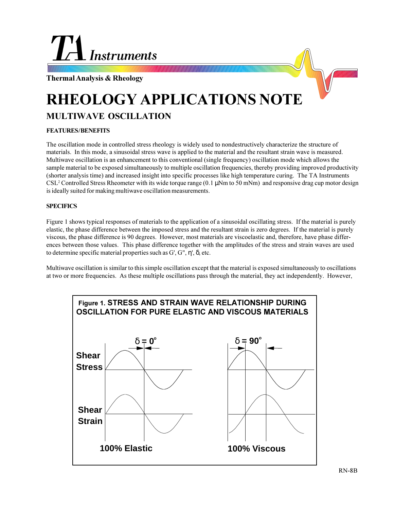

**Thermal Analysis & Rheology**

# **RHEOLOGY APPLICATIONS NOTE**

## **MULTIWAVE OSCILLATION**

## **FEATURES / BENEFITS**

The oscillation mode in controlled stress rheology is widely used to nondestructively characterize the structure of materials. In this mode, a sinusoidal stress wave is applied to the material and the resultant strain wave is measured. Multiwave oscillation is an enhancement to this conventional (single frequency) oscillation mode which allows the sample material to be exposed simultaneously to multiple oscillation frequencies, thereby providing improved productivity (shorter analysis time) and increased insight into specific processes like high temperature curing. The TA Instruments CSL<sup>2</sup> Controlled Stress Rheometer with its wide torque range (0.1 µNm to 50 mNm) and responsive drag cup motor design is ideally suited for making multiwave oscillation measurements.

## **SPECIFICS**

Figure 1 shows typical responses of materials to the application of a sinusoidal oscillating stress. If the material is purely elastic, the phase difference between the imposed stress and the resultant strain is zero degrees. If the material is purely viscous, the phase difference is 90 degrees. However, most materials are viscoelastic and, therefore, have phase differences between those values. This phase difference together with the amplitudes of the stress and strain waves are used to determine specific material properties such as G', G", η', δ, etc.

Multiwave oscillation is similar to this simple oscillation except that the material is exposed simultaneously to oscillations at two or more frequencies. As these multiple oscillations pass through the material, they act independently. However,

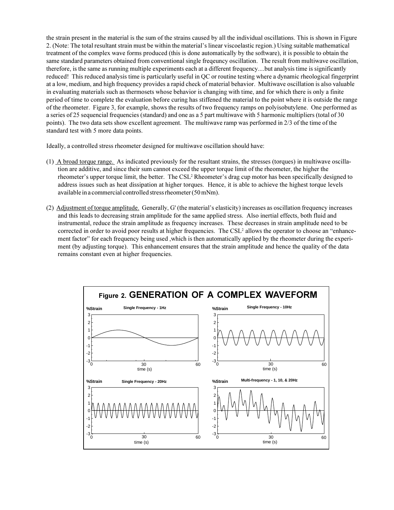the strain present in the material is the sum of the strains caused by all the individual oscillations. This is shown in Figure 2. (Note: The total resultant strain must be within the material's linear viscoelastic region.) Using suitable mathematical treatment of the complex wave forms produced (this is done automatically by the software), it is possible to obtain the same standard parameters obtained from conventional single freqeuncy oscillation. The result from multiwave oscillation, therefore, is the same as running multiple experiments each at a different frequency....but analysis time is significantly reduced! This reduced analysis time is particularly useful in QC or routine testing where a dynamic rheological fingerprint at a low, medium, and high frequency provides a rapid check of material behavior. Multiwave oscillation is also valuable in evaluating materials such as thermosets whose behavior is changing with time, and for which there is only a finite period of time to complete the evaluation before curing has stiffened the material to the point where it is outside the range of the rheometer. Figure 3, for example, shows the results of two frequency ramps on polyisobutylene. One performed as a series of 25 sequencial frequencies (standard) and one as a 5 part multiwave with 5 harmonic multipliers (total of 30 points). The two data sets show excellent agreement. The multiwave ramp was performed in 2/3 of the time of the standard test with 5 more data points.

Ideally, a controlled stress rheometer designed for multiwave oscillation should have:

- $(1)$  A broad torque range. As indicated previously for the resultant strains, the stresses (torques) in multiwave oscillation are additive, and since their sum cannot exceed the upper torque limit of the rheometer, the higher the rheometer's upper torque limit, the better. The CSL<sup>2</sup> Rheometer's drag cup motor has been specifically designed to address issues such as heat dissipation at higher torques. Hence, it is able to achieve the highest torque levels available in a commercial controlled stress rheometer (50 mNm).
- $(2)$  Adjustment of torque amplitude. Generally, G' (the material's elasticity) increases as oscillation frequency increases and this leads to decreasing strain amplitude for the same applied stress. Also inertial effects, both fluid and instrumental, reduce the strain amplitude as frequency increases. These decreases in strain amplitude need to be corrected in order to avoid poor results at higher frequencies. The CSL<sup>2</sup> allows the operator to choose an "enhancement factor" for each frequency being used ,which is then automatically applied by the rheometer during the experiment (by adjusting torque). This enhancement ensures that the strain amplitude and hence the quality of the data remains constant even at higher frequencies.